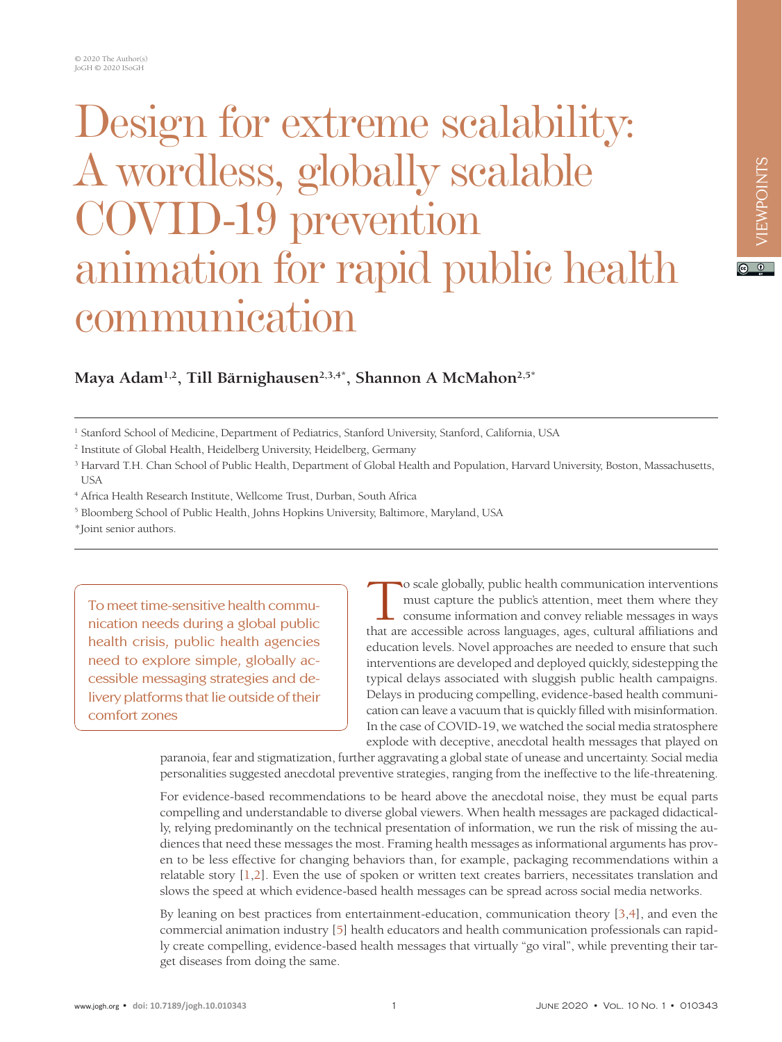# Design for extreme scalability: A wordless, globally scalable COVID-19 prevention animation for rapid public health communication

Maya Adam<sup>1,2</sup>, Till Bärnighausen<sup>2,3,4\*</sup>, Shannon A McMahon<sup>2,5\*</sup>

- 2 Institute of Global Health, Heidelberg University, Heidelberg, Germany
- <sup>3</sup> Harvard T.H. Chan School of Public Health, Department of Global Health and Population, Harvard University, Boston, Massachusetts, USA
- 4 Africa Health Research Institute, Wellcome Trust, Durban, South Africa
- <sup>5</sup> Bloomberg School of Public Health, Johns Hopkins University, Baltimore, Maryland, USA
- \*Joint senior authors.

To meet time-sensitive health communication needs during a global public health crisis, public health agencies need to explore simple, globally accessible messaging strategies and delivery platforms that lie outside of their comfort zones

o scale globally, public health communication interventions must capture the public's attention, meet them where they consume information and convey reliable messages in ways that are accessible across languages, ages, cultural affiliations and education levels. Novel approaches are needed to ensure that such interventions are developed and deployed quickly, sidestepping the typical delays associated with sluggish public health campaigns. Delays in producing compelling, evidence-based health communication can leave a vacuum that is quickly filled with misinformation. In the case of COVID-19, we watched the social media stratosphere explode with deceptive, anecdotal health messages that played on

paranoia, fear and stigmatization, further aggravating a global state of unease and uncertainty. Social media personalities suggested anecdotal preventive strategies, ranging from the ineffective to the life-threatening.

For evidence-based recommendations to be heard above the anecdotal noise, they must be equal parts compelling and understandable to diverse global viewers. When health messages are packaged didactically, relying predominantly on the technical presentation of information, we run the risk of missing the audiences that need these messages the most. Framing health messages as informational arguments has proven to be less effective for changing behaviors than, for example, packaging recommendations within a relatable story [1,2]. Even the use of spoken or written text creates barriers, necessitates translation and slows the speed at which evidence-based health messages can be spread across social media networks.

By leaning on best practices from entertainment-education, communication theory [3,4], and even the commercial animation industry [5] health educators and health communication professionals can rapidly create compelling, evidence-based health messages that virtually "go viral", while preventing their target diseases from doing the same.

 $\boxed{6}$  0

<sup>1</sup> Stanford School of Medicine, Department of Pediatrics, Stanford University, Stanford, California, USA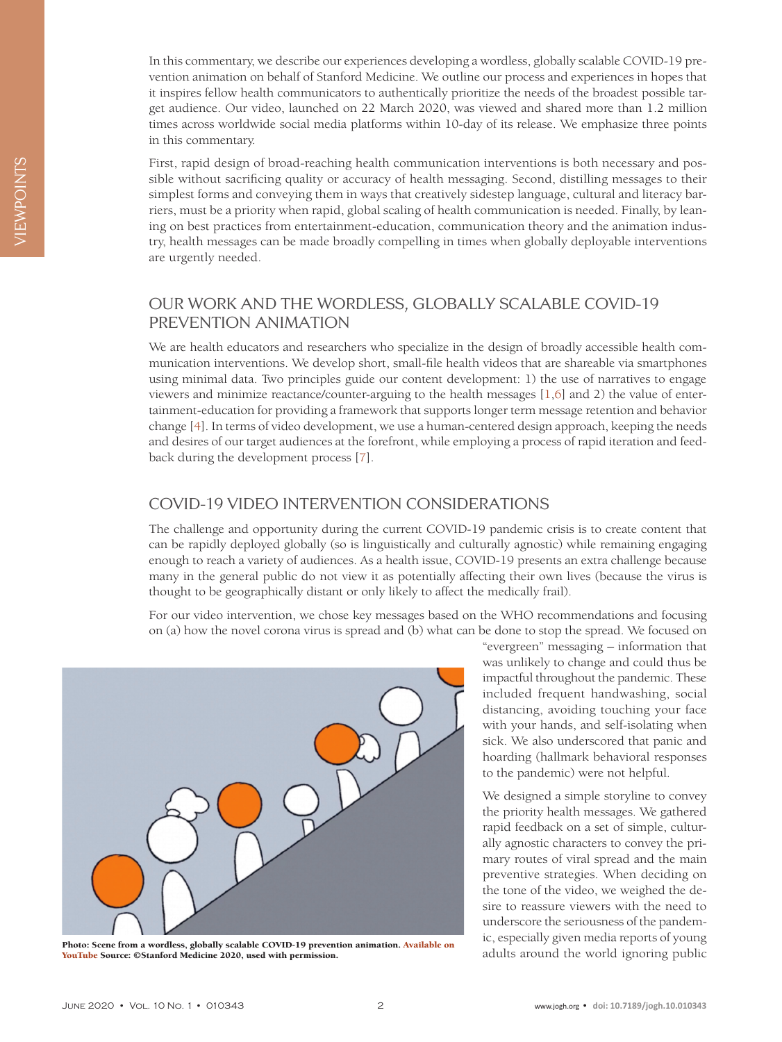In this commentary, we describe our experiences developing a wordless, globally scalable COVID-19 prevention animation on behalf of Stanford Medicine. We outline our process and experiences in hopes that it inspires fellow health communicators to authentically prioritize the needs of the broadest possible target audience. Our video, launched on 22 March 2020, was viewed and shared more than 1.2 million times across worldwide social media platforms within 10-day of its release. We emphasize three points in this commentary.

First, rapid design of broad-reaching health communication interventions is both necessary and possible without sacrificing quality or accuracy of health messaging. Second, distilling messages to their simplest forms and conveying them in ways that creatively sidestep language, cultural and literacy barriers, must be a priority when rapid, global scaling of health communication is needed. Finally, by leaning on best practices from entertainment-education, communication theory and the animation industry, health messages can be made broadly compelling in times when globally deployable interventions are urgently needed.

## OUR WORK AND THE WORDLESS, GLOBALLY SCALABLE COVID-19 PREVENTION ANIMATION

We are health educators and researchers who specialize in the design of broadly accessible health communication interventions. We develop short, small-file health videos that are shareable via smartphones using minimal data. Two principles guide our content development: 1) the use of narratives to engage viewers and minimize reactance/counter-arguing to the health messages [1,6] and 2) the value of entertainment-education for providing a framework that supports longer term message retention and behavior change [4]. In terms of video development, we use a human-centered design approach, keeping the needs and desires of our target audiences at the forefront, while employing a process of rapid iteration and feedback during the development process [7].

## COVID-19 VIDEO INTERVENTION CONSIDERATIONS

The challenge and opportunity during the current COVID-19 pandemic crisis is to create content that can be rapidly deployed globally (so is linguistically and culturally agnostic) while remaining engaging enough to reach a variety of audiences. As a health issue, COVID-19 presents an extra challenge because many in the general public do not view it as potentially affecting their own lives (because the virus is thought to be geographically distant or only likely to affect the medically frail).

For our video intervention, we chose key messages based on the WHO recommendations and focusing on (a) how the novel corona virus is spread and (b) what can be done to stop the spread. We focused on



Photo: Scene from a wordless, globally scalable COVID-19 prevention animation. [Available on](https://www.youtube.com/watch?v=rAj38E7vrS8) the world ignoring public Photo: Scene from a wordless, globally scalable COVID-19 prevention animation. Available on adults aroun [YouTube](https://www.youtube.com/watch?v=rAj38E7vrS8) Source: ©Stanford Medicine 2020, used with permission.

"evergreen" messaging – information that was unlikely to change and could thus be impactful throughout the pandemic. These included frequent handwashing, social distancing, avoiding touching your face with your hands, and self-isolating when sick. We also underscored that panic and hoarding (hallmark behavioral responses to the pandemic) were not helpful.

We designed a simple storyline to convey the priority health messages. We gathered rapid feedback on a set of simple, culturally agnostic characters to convey the primary routes of viral spread and the main preventive strategies. When deciding on the tone of the video, we weighed the desire to reassure viewers with the need to underscore the seriousness of the pandemic, especially given media reports of young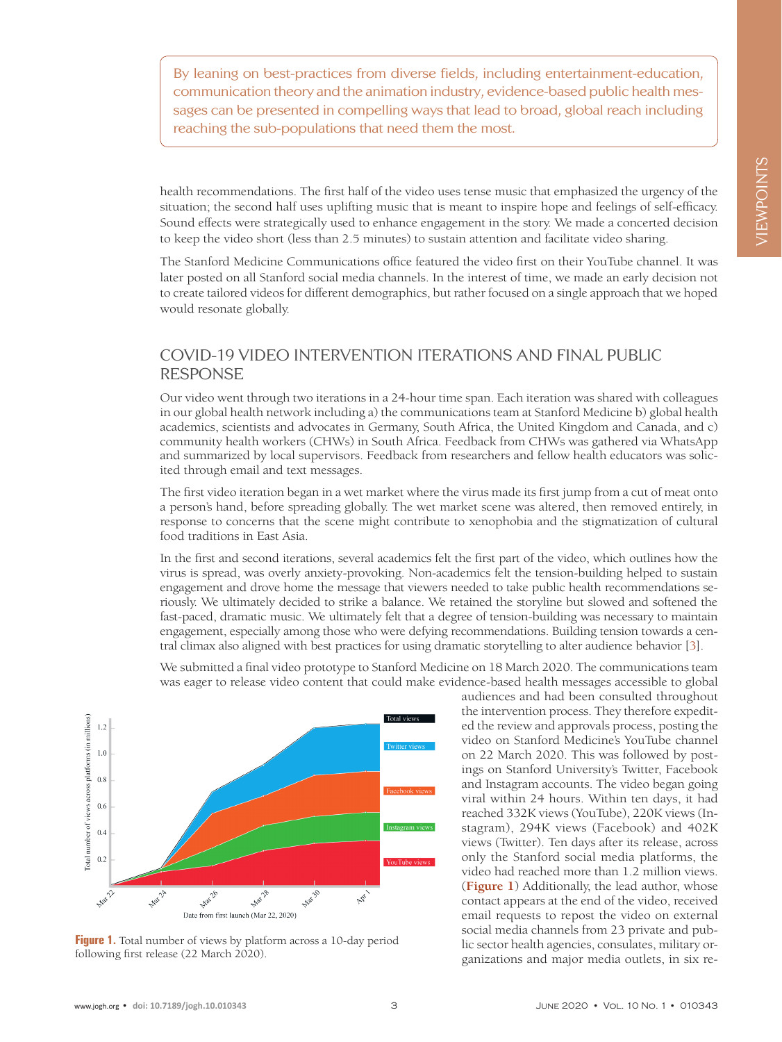By leaning on best-practices from diverse fields, including entertainment-education, communication theory and the animation industry, evidence-based public health messages can be presented in compelling ways that lead to broad, global reach including reaching the sub-populations that need them the most.

health recommendations. The first half of the video uses tense music that emphasized the urgency of the situation; the second half uses uplifting music that is meant to inspire hope and feelings of self-efficacy. Sound effects were strategically used to enhance engagement in the story. We made a concerted decision to keep the video short (less than 2.5 minutes) to sustain attention and facilitate video sharing.

The Stanford Medicine Communications office featured the video first on their YouTube channel. It was later posted on all Stanford social media channels. In the interest of time, we made an early decision not to create tailored videos for different demographics, but rather focused on a single approach that we hoped would resonate globally.

# COVID-19 VIDEO INTERVENTION ITERATIONS AND FINAL PUBLIC RESPONSE

Our video went through two iterations in a 24-hour time span. Each iteration was shared with colleagues in our global health network including a) the communications team at Stanford Medicine b) global health academics, scientists and advocates in Germany, South Africa, the United Kingdom and Canada, and c) community health workers (CHWs) in South Africa. Feedback from CHWs was gathered via WhatsApp and summarized by local supervisors. Feedback from researchers and fellow health educators was solicited through email and text messages.

The first video iteration began in a wet market where the virus made its first jump from a cut of meat onto a person's hand, before spreading globally. The wet market scene was altered, then removed entirely, in response to concerns that the scene might contribute to xenophobia and the stigmatization of cultural food traditions in East Asia.

In the first and second iterations, several academics felt the first part of the video, which outlines how the virus is spread, was overly anxiety-provoking. Non-academics felt the tension-building helped to sustain engagement and drove home the message that viewers needed to take public health recommendations seriously. We ultimately decided to strike a balance. We retained the storyline but slowed and softened the fast-paced, dramatic music. We ultimately felt that a degree of tension-building was necessary to maintain engagement, especially among those who were defying recommendations. Building tension towards a central climax also aligned with best practices for using dramatic storytelling to alter audience behavior [3].

We submitted a final video prototype to Stanford Medicine on 18 March 2020. The communications team was eager to release video content that could make evidence-based health messages accessible to global



Figure 1. Total number of views by platform across a 10-day period following first release (22 March 2020).

audiences and had been consulted throughout the intervention process. They therefore expedited the review and approvals process, posting the video on Stanford Medicine's YouTube channel on 22 March 2020. This was followed by postings on Stanford University's Twitter, Facebook and Instagram accounts. The video began going viral within 24 hours. Within ten days, it had reached 332K views (YouTube), 220K views (Instagram), 294K views (Facebook) and 402K views (Twitter). Ten days after its release, across only the Stanford social media platforms, the video had reached more than 1.2 million views. (**Figure 1**) Additionally, the lead author, whose contact appears at the end of the video, received email requests to repost the video on external social media channels from 23 private and public sector health agencies, consulates, military organizations and major media outlets, in six re